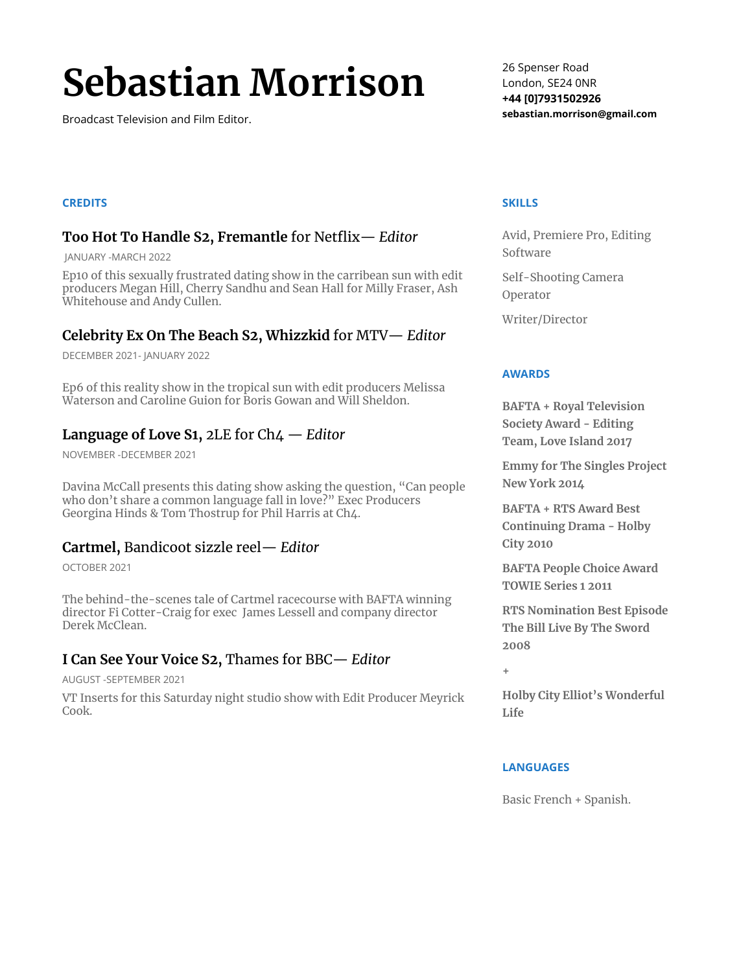# **Sebastian Morrison**

Broadcast Television and Film Editor.

#### **CREDITS**

# **Too Hot To Handle S2, Fremantle** for Netflix— *Editor*

JANUARY -MARCH 2022

Ep10 of this sexually frustrated dating show in the carribean sun with edit producers Megan Hill, Cherry Sandhu and Sean Hall for Milly Fraser, Ash Whitehouse and Andy Cullen.

# **Celebrity Ex On The Beach S2, Whizzkid** for MTV— *Editor*

DECEMBER 2021- JANUARY 2022

Ep6 of this reality show in the tropical sun with edit producers Melissa Waterson and Caroline Guion for Boris Gowan and Will Sheldon.

# **Language of Love S1,** 2LE for Ch4 — *Editor*

NOVEMBER -DECEMBER 2021

Davina McCall presents this dating show asking the question, "Can people who don't share a common language fall in love?" Exec Producers Georgina Hinds & Tom Thostrup for Phil Harris at Ch4.

### **Cartmel,** Bandicoot sizzle reel— *Editor*

OCTOBER 2021

The behind-the-scenes tale of Cartmel racecourse with BAFTA winning director Fi Cotter-Craig for exec James Lessell and company director Derek McClean.

# **I Can See Your Voice S2,** Thames for BBC— *Editor*

AUGUST -SEPTEMBER 2021

VT Inserts for this Saturday night studio show with Edit Producer Meyrick Cook.

26 Spenser Road London, SE24 0NR **+44 [0]7931502926 sebastian.morrison@gmail.com**

#### **SKILLS**

Avid, Premiere Pro, Editing Software

Self-Shooting Camera Operator

Writer/Director

#### **AWARDS**

**BAFTA + Royal Television Society Award - Editing Team, Love Island 2017**

**Emmy for The Singles Project New York 2014**

**BAFTA + RTS Award Best Continuing Drama - Holby City 2010**

**BAFTA People Choice Award TOWIE Series 1 2011**

**RTS Nomination Best Episode The Bill Live By The Sword 2008**

**+**

**Holby City Elliot's Wonderful Life**

#### **LANGUAGES**

Basic French + Spanish.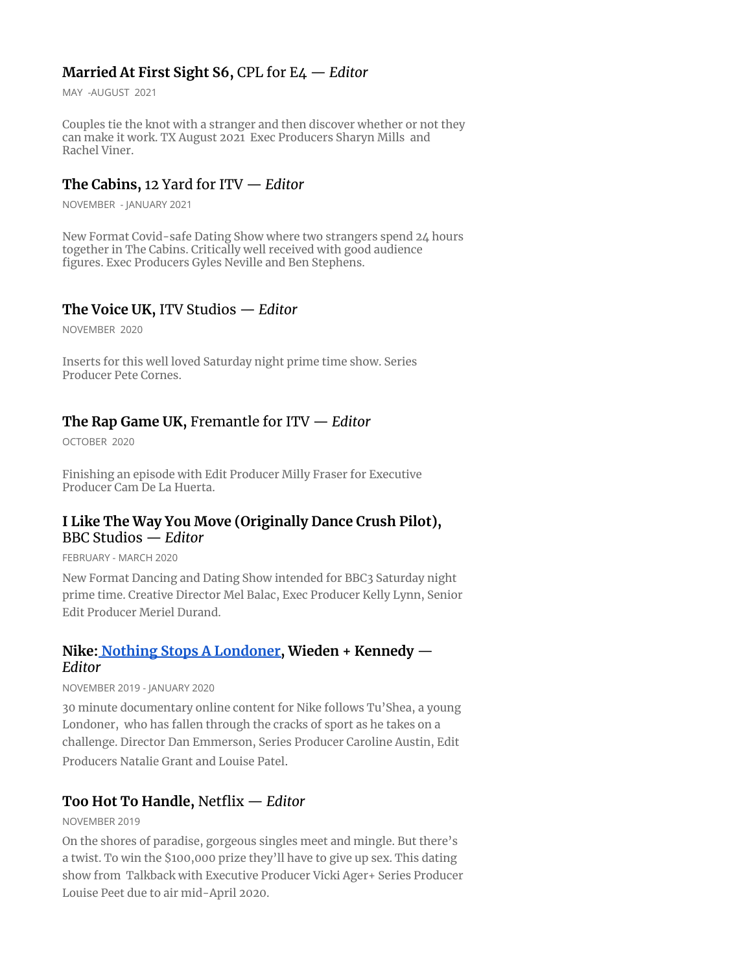# **Married At First Sight S6,** CPL for E4 — *Editor*

MAY -AUGUST 2021

Couples tie the knot with a stranger and then discover whether or not they can make it work. TX August 2021 Exec Producers Sharyn Mills and Rachel Viner.

## **The Cabins,** 12 Yard for ITV — *Editor*

NOVEMBER - JANUARY 2021

New Format Covid-safe Dating Show where two strangers spend 24 hours together in The Cabins. Critically well received with good audience figures. Exec Producers Gyles Neville and Ben Stephens.

## **The Voice UK,** ITV Studios — *Editor*

NOVEMBER 2020

Inserts for this well loved Saturday night prime time show. Series Producer Pete Cornes.

## **The Rap Game UK,** Fremantle for ITV — *Editor*

OCTOBER 2020

Finishing an episode with Edit Producer Milly Fraser for Executive Producer Cam De La Huerta.

## **I Like The Way You Move (Originally Dance Crush Pilot),** BBC Studios — *Editor*

FEBRUARY - MARCH 2020

New Format Dancing and Dating Show intended for BBC3 Saturday night prime time. Creative Director Mel Balac, Exec Producer Kelly Lynn, Senior Edit Producer Meriel Durand.

# **Nike: Nothing Stops A [Londoner,](https://www.channel4.com/programmes/new-heights-london) Wieden + Kennedy** — *Editor*

NOVEMBER 2019 - JANUARY 2020

30 minute documentary online content for Nike follows Tu'Shea, a young Londoner, who has fallen through the cracks of sport as he takes on a challenge. Director Dan Emmerson, Series Producer Caroline Austin, Edit Producers Natalie Grant and Louise Patel.

# **Too Hot To Handle,** Netflix — *Editor*

NOVEMBER 2019

On the shores of paradise, gorgeous singles meet and mingle. But there's a twist. To win the \$100,000 prize they'll have to give up sex. This dating show from Talkback with Executive Producer Vicki Ager+ Series Producer Louise Peet due to air mid-April 2020.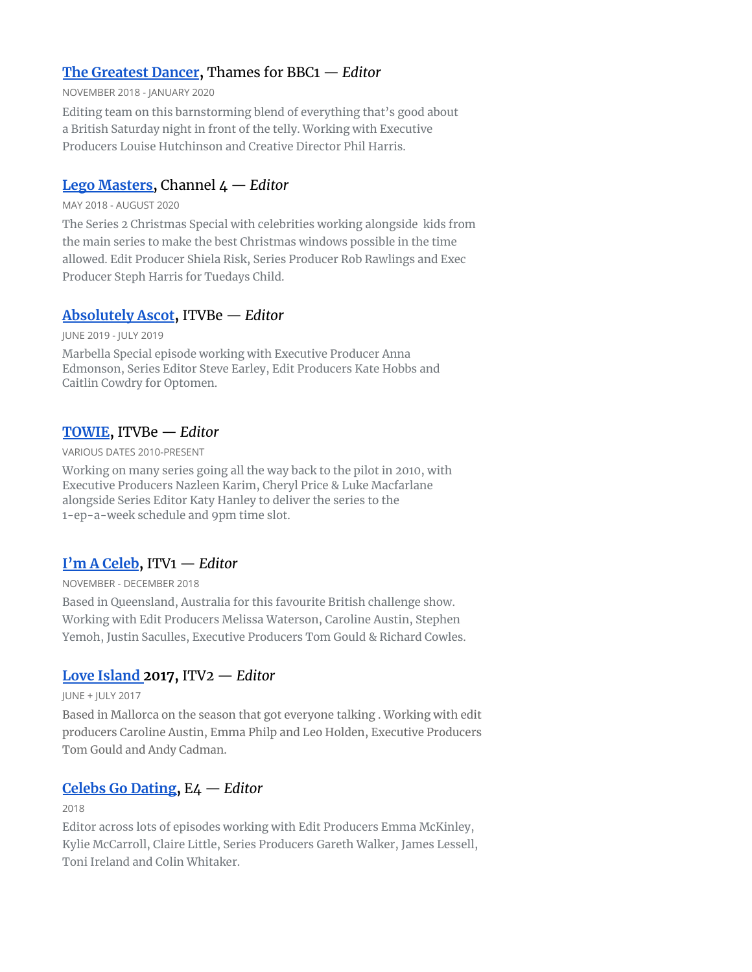# **The [Greatest](https://www.bbc.co.uk/programmes/p06tvw90) Dancer,** Thames for BBC1 — *Editor*

#### NOVEMBER 2018 - JANUARY 2020

Editing team on this barnstorming blend of everything that's good about a British Saturday night in front of the telly. Working with Executive Producers Louise Hutchinson and Creative Director Phil Harris.

# **Lego [Masters,](http://tuesdayschild.tv/lego-masters/)** Channel 4 — *Editor*

#### MAY 2018 - AUGUST 2020

The Series 2 Christmas Special with celebrities working alongside kids from the main series to make the best Christmas windows possible in the time allowed. Edit Producer Shiela Risk, Series Producer Rob Rawlings and Exec Producer Steph Harris for Tuedays Child.

# **[Absolutely](https://youtu.be/FbguA3kgp28) Ascot,** ITVBe — *Editor*

JUNE 2019 - JULY 2019

Marbella Special episode working with Executive Producer Anna Edmonson, Series Editor Steve Earley, Edit Producers Kate Hobbs and Caitlin Cowdry for Optomen.

# **[TOWIE](https://youtu.be/jYfji3xhpwA),** ITVBe — *Editor*

#### VARIOUS DATES 2010-PRESENT

Working on many series going all the way back to the pilot in 2010, with Executive Producers Nazleen Karim, Cheryl Price & Luke Macfarlane alongside Series Editor Katy Hanley to deliver the series to the 1-ep-a-week schedule and 9pm time slot.

# **I'm A [Celeb](https://www.itv.com/imacelebrity/your-2017-voting-results),** ITV1 — *Editor*

NOVEMBER - DECEMBER 2018

Based in Queensland, Australia for this favourite British challenge show. Working with Edit Producers Melissa Waterson, Caroline Austin, Stephen Yemoh, Justin Saculles, Executive Producers Tom Gould & Richard Cowles.

# **Love [Island](https://youtu.be/D_uv66C_2Lw) 2017,** ITV2 — *Editor*

JUNE + JULY 2017

Based in Mallorca on the season that got everyone talking . Working with edit producers Caroline Austin, Emma Philp and Leo Holden, Executive Producers Tom Gould and Andy Cadman.

# **Celebs Go [Dating,](https://youtu.be/WOcB7eBjmag)** E4 — *Editor*

#### 2018

Editor across lots of episodes working with Edit Producers Emma McKinley, Kylie McCarroll, Claire Little, Series Producers Gareth Walker, James Lessell, Toni Ireland and Colin Whitaker.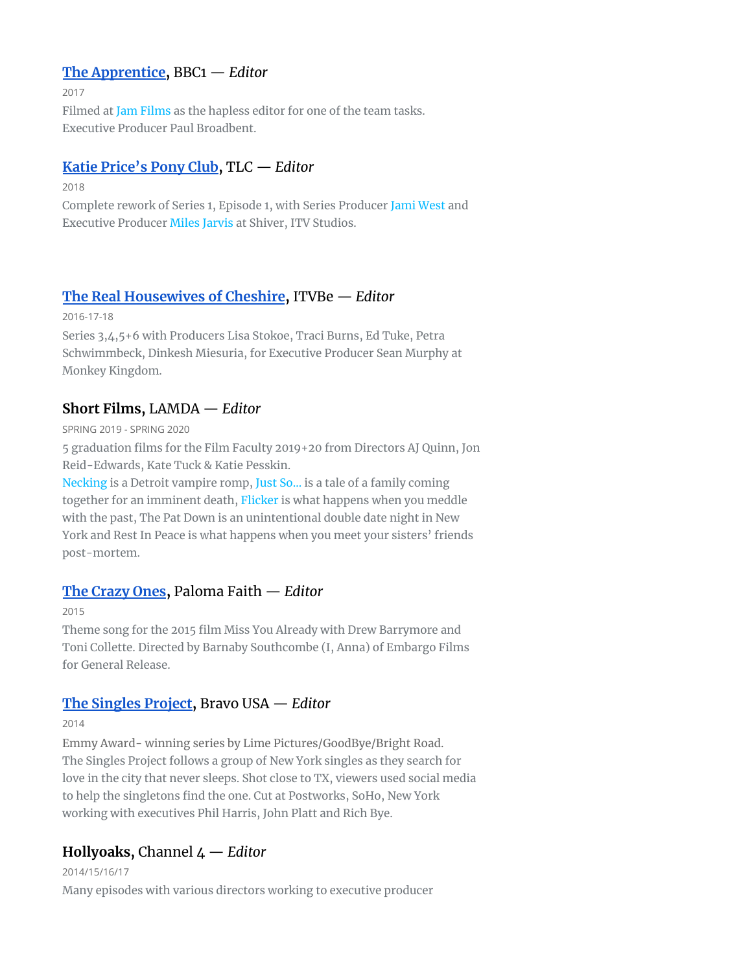## **The [Apprentice,](https://vimeo.com/248125746)** BBC1 — *Editor*

2017

Filmed at Jam [Films](http://www.jamfilms.co.uk/pages/about) as the hapless editor for one of the team tasks. Executive Producer Paul Broadbent.

## **Katie [Price's](https://youtu.be/gS9sdiAb_ns) Pony Club,** TLC — *Editor*

2018

Complete rework of Series 1, Episode 1, with Series Producer Jami [West](http://m.imdb.com/name/nm1038232/) and Executive Producer Miles [Jarvis](http://m.imdb.com/name/nm1660920/filmotype/producer?ref_=m_nmfm_1) at Shiver, ITV Studios.

# **The Real [Housewives](https://youtu.be/TO8vfexXOM8) of Cheshire,** ITVBe — *Editor*

#### 2016-17-18

Series 3,4,5+6 with Producers Lisa Stokoe, Traci Burns, Ed Tuke, Petra Schwimmbeck, Dinkesh Miesuria, for Executive Producer Sean Murphy at Monkey Kingdom.

# **Short Films,** LAMDA — *Editor*

SPRING 2019 - SPRING 2020

5 graduation films for the Film Faculty 2019+20 from Directors AJ Quinn, Jon Reid-Edwards, Kate Tuck & Katie Pesskin.

[Necking](https://youtu.be/uuNdbGro-ZU) is a Detroit vampire romp, Just [So…](https://youtu.be/IN2FU1uqY_o) is a tale of a family coming together for an imminent death, [Flicker](https://youtu.be/5AyxNeTLC-0) is what happens when you meddle with the past, The Pat Down is an unintentional double date night in New York and Rest In Peace is what happens when you meet your sisters' friends post-mortem.

# **The [Crazy](https://youtu.be/RWhJmi5oxXg) Ones,** Paloma Faith — *Editor*

2015

Theme song for the 2015 film Miss You [Already](http://www.imdb.com/title/tt2245003/) with Drew Barrymore and Toni Collette. Directed by Barnaby Southcombe (I, [Anna\)](http://www.imdb.com/title/tt1587411/?ref_=nv_sr_1) of Embargo Films for General Release.

# **The [Singles](http://www.bravotv.com/the-daily-dish/the-singles-project-takes-home-an-emmy) Project,** Bravo USA — *Editor*

2014

Emmy Award- winning series by Lime Pictures/GoodBye/Bright Road. The Singles Project follows a group of New York singles as they search for love in the city that never sleeps. Shot close to TX, viewers used social media to help the singletons find the one. Cut at Postworks, SoHo, New York working with executives Phil Harris, John Platt and Rich Bye.

# **Hollyoaks,** Channel 4 — *Editor*

2014/15/16/17

Many episodes with various directors working to executive producer